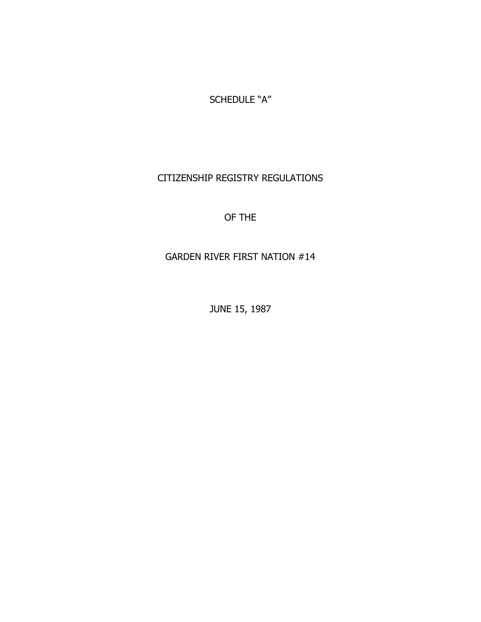SCHEDULE "A"

# CITIZENSHIP REGISTRY REGULATIONS

# OF THE

# GARDEN RIVER FIRST NATION #14

JUNE 15, 1987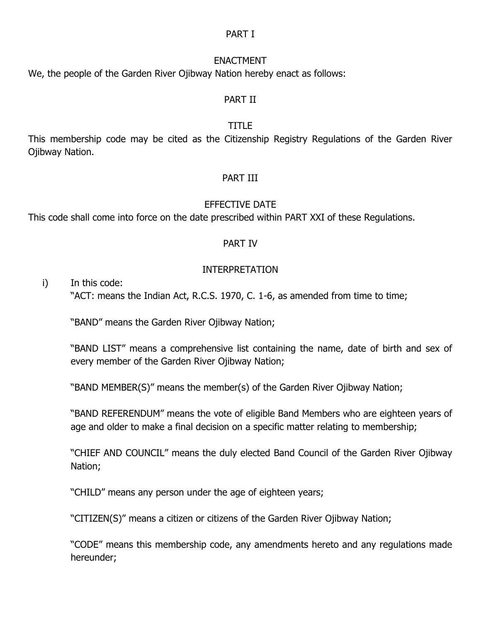#### PART I

#### ENACTMENT

We, the people of the Garden River Ojibway Nation hereby enact as follows:

#### PART II

## TITLE

This membership code may be cited as the Citizenship Registry Regulations of the Garden River Ojibway Nation.

## PART III

## EFFECTIVE DATE

This code shall come into force on the date prescribed within PART XXI of these Regulations.

## PART IV

## INTERPRETATION

i) In this code:

"ACT: means the Indian Act, R.C.S. 1970, C. 1-6, as amended from time to time;

"BAND" means the Garden River Ojibway Nation;

"BAND LIST" means a comprehensive list containing the name, date of birth and sex of every member of the Garden River Ojibway Nation;

"BAND MEMBER(S)" means the member(s) of the Garden River Ojibway Nation;

"BAND REFERENDUM" means the vote of eligible Band Members who are eighteen years of age and older to make a final decision on a specific matter relating to membership;

"CHIEF AND COUNCIL" means the duly elected Band Council of the Garden River Ojibway Nation;

"CHILD" means any person under the age of eighteen years;

"CITIZEN(S)" means a citizen or citizens of the Garden River Ojibway Nation;

"CODE" means this membership code, any amendments hereto and any regulations made hereunder;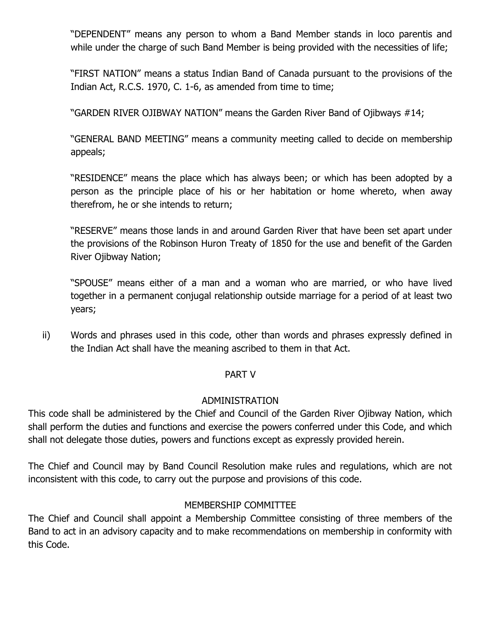"DEPENDENT" means any person to whom a Band Member stands in loco parentis and while under the charge of such Band Member is being provided with the necessities of life;

"FIRST NATION" means a status Indian Band of Canada pursuant to the provisions of the Indian Act, R.C.S. 1970, C. 1-6, as amended from time to time;

"GARDEN RIVER OJIBWAY NATION" means the Garden River Band of Ojibways #14;

"GENERAL BAND MEETING" means a community meeting called to decide on membership appeals;

"RESIDENCE" means the place which has always been; or which has been adopted by a person as the principle place of his or her habitation or home whereto, when away therefrom, he or she intends to return;

"RESERVE" means those lands in and around Garden River that have been set apart under the provisions of the Robinson Huron Treaty of 1850 for the use and benefit of the Garden River Ojibway Nation;

"SPOUSE" means either of a man and a woman who are married, or who have lived together in a permanent conjugal relationship outside marriage for a period of at least two years;

ii) Words and phrases used in this code, other than words and phrases expressly defined in the Indian Act shall have the meaning ascribed to them in that Act.

## PART V

#### ADMINISTRATION

This code shall be administered by the Chief and Council of the Garden River Ojibway Nation, which shall perform the duties and functions and exercise the powers conferred under this Code, and which shall not delegate those duties, powers and functions except as expressly provided herein.

The Chief and Council may by Band Council Resolution make rules and regulations, which are not inconsistent with this code, to carry out the purpose and provisions of this code.

## MEMBERSHIP COMMITTEE

The Chief and Council shall appoint a Membership Committee consisting of three members of the Band to act in an advisory capacity and to make recommendations on membership in conformity with this Code.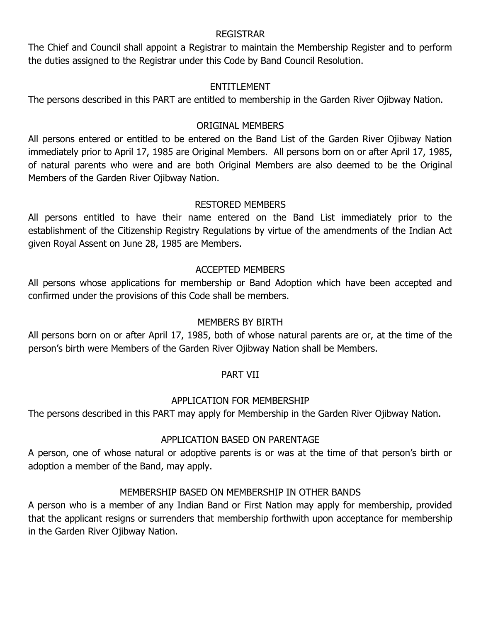#### REGISTRAR

The Chief and Council shall appoint a Registrar to maintain the Membership Register and to perform the duties assigned to the Registrar under this Code by Band Council Resolution.

## ENTITLEMENT

The persons described in this PART are entitled to membership in the Garden River Ojibway Nation.

## ORIGINAL MEMBERS

All persons entered or entitled to be entered on the Band List of the Garden River Ojibway Nation immediately prior to April 17, 1985 are Original Members. All persons born on or after April 17, 1985, of natural parents who were and are both Original Members are also deemed to be the Original Members of the Garden River Ojibway Nation.

# RESTORED MEMBERS

All persons entitled to have their name entered on the Band List immediately prior to the establishment of the Citizenship Registry Regulations by virtue of the amendments of the Indian Act given Royal Assent on June 28, 1985 are Members.

# ACCEPTED MEMBERS

All persons whose applications for membership or Band Adoption which have been accepted and confirmed under the provisions of this Code shall be members.

# MEMBERS BY BIRTH

All persons born on or after April 17, 1985, both of whose natural parents are or, at the time of the person's birth were Members of the Garden River Ojibway Nation shall be Members.

# PART VII

# APPLICATION FOR MEMBERSHIP

The persons described in this PART may apply for Membership in the Garden River Ojibway Nation.

# APPLICATION BASED ON PARENTAGE

A person, one of whose natural or adoptive parents is or was at the time of that person's birth or adoption a member of the Band, may apply.

# MEMBERSHIP BASED ON MEMBERSHIP IN OTHER BANDS

A person who is a member of any Indian Band or First Nation may apply for membership, provided that the applicant resigns or surrenders that membership forthwith upon acceptance for membership in the Garden River Ojibway Nation.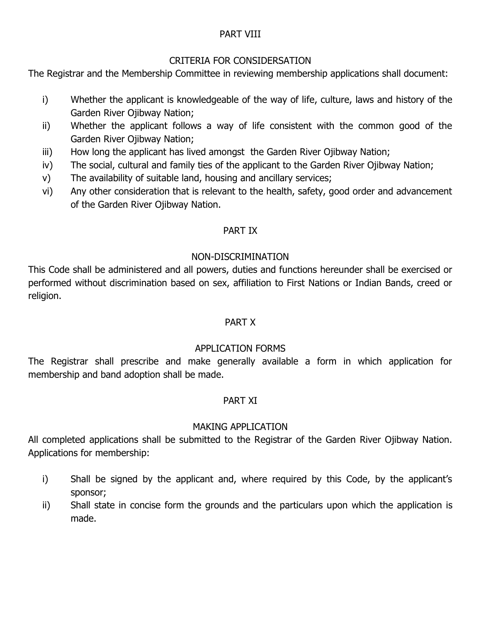## PART VIII

## CRITERIA FOR CONSIDERSATION

The Registrar and the Membership Committee in reviewing membership applications shall document:

- i) Whether the applicant is knowledgeable of the way of life, culture, laws and history of the Garden River Ojibway Nation;
- ii) Whether the applicant follows a way of life consistent with the common good of the Garden River Ojibway Nation;
- iii) How long the applicant has lived amongst the Garden River Ojibway Nation;
- iv) The social, cultural and family ties of the applicant to the Garden River Ojibway Nation;
- v) The availability of suitable land, housing and ancillary services;
- vi) Any other consideration that is relevant to the health, safety, good order and advancement of the Garden River Ojibway Nation.

## PART IX

## NON-DISCRIMINATION

This Code shall be administered and all powers, duties and functions hereunder shall be exercised or performed without discrimination based on sex, affiliation to First Nations or Indian Bands, creed or religion.

## PART X

## APPLICATION FORMS

The Registrar shall prescribe and make generally available a form in which application for membership and band adoption shall be made.

## PART XI

# MAKING APPLICATION

All completed applications shall be submitted to the Registrar of the Garden River Ojibway Nation. Applications for membership:

- i) Shall be signed by the applicant and, where required by this Code, by the applicant's sponsor;
- ii) Shall state in concise form the grounds and the particulars upon which the application is made.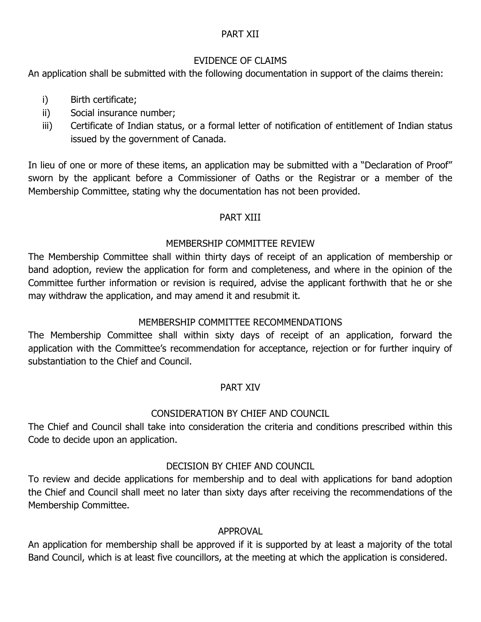## PART XII

## EVIDENCE OF CLAIMS

An application shall be submitted with the following documentation in support of the claims therein:

- i) Birth certificate;
- ii) Social insurance number;
- iii) Certificate of Indian status, or a formal letter of notification of entitlement of Indian status issued by the government of Canada.

In lieu of one or more of these items, an application may be submitted with a "Declaration of Proof" sworn by the applicant before a Commissioner of Oaths or the Registrar or a member of the Membership Committee, stating why the documentation has not been provided.

## PART XIII

## MEMBERSHIP COMMITTEE REVIEW

The Membership Committee shall within thirty days of receipt of an application of membership or band adoption, review the application for form and completeness, and where in the opinion of the Committee further information or revision is required, advise the applicant forthwith that he or she may withdraw the application, and may amend it and resubmit it.

# MEMBERSHIP COMMITTEE RECOMMENDATIONS

The Membership Committee shall within sixty days of receipt of an application, forward the application with the Committee's recommendation for acceptance, rejection or for further inquiry of substantiation to the Chief and Council.

## PART XIV

# CONSIDERATION BY CHIEF AND COUNCIL

The Chief and Council shall take into consideration the criteria and conditions prescribed within this Code to decide upon an application.

## DECISION BY CHIEF AND COUNCIL

To review and decide applications for membership and to deal with applications for band adoption the Chief and Council shall meet no later than sixty days after receiving the recommendations of the Membership Committee.

## APPROVAL

An application for membership shall be approved if it is supported by at least a majority of the total Band Council, which is at least five councillors, at the meeting at which the application is considered.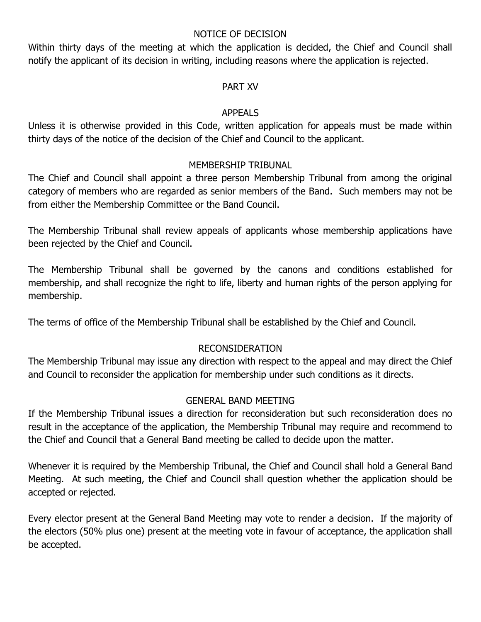#### NOTICE OF DECISION

Within thirty days of the meeting at which the application is decided, the Chief and Council shall notify the applicant of its decision in writing, including reasons where the application is rejected.

#### PART XV

## APPEALS

Unless it is otherwise provided in this Code, written application for appeals must be made within thirty days of the notice of the decision of the Chief and Council to the applicant.

## MEMBERSHIP TRIBUNAL

The Chief and Council shall appoint a three person Membership Tribunal from among the original category of members who are regarded as senior members of the Band. Such members may not be from either the Membership Committee or the Band Council.

The Membership Tribunal shall review appeals of applicants whose membership applications have been rejected by the Chief and Council.

The Membership Tribunal shall be governed by the canons and conditions established for membership, and shall recognize the right to life, liberty and human rights of the person applying for membership.

The terms of office of the Membership Tribunal shall be established by the Chief and Council.

## RECONSIDERATION

The Membership Tribunal may issue any direction with respect to the appeal and may direct the Chief and Council to reconsider the application for membership under such conditions as it directs.

## GENERAL BAND MEETING

If the Membership Tribunal issues a direction for reconsideration but such reconsideration does no result in the acceptance of the application, the Membership Tribunal may require and recommend to the Chief and Council that a General Band meeting be called to decide upon the matter.

Whenever it is required by the Membership Tribunal, the Chief and Council shall hold a General Band Meeting. At such meeting, the Chief and Council shall question whether the application should be accepted or rejected.

Every elector present at the General Band Meeting may vote to render a decision. If the majority of the electors (50% plus one) present at the meeting vote in favour of acceptance, the application shall be accepted.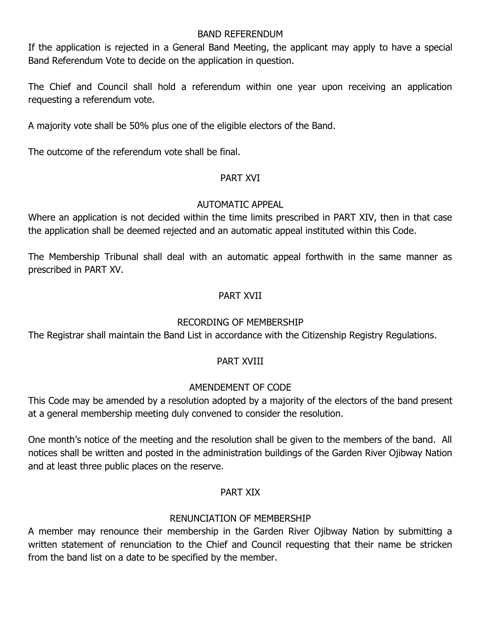#### BAND REFERENDUM

If the application is rejected in a General Band Meeting, the applicant may apply to have a special Band Referendum Vote to decide on the application in question.

The Chief and Council shall hold a referendum within one year upon receiving an application requesting a referendum vote.

A majority vote shall be 50% plus one of the eligible electors of the Band.

The outcome of the referendum vote shall be final.

## PART XVI

## AUTOMATIC APPEAL

Where an application is not decided within the time limits prescribed in PART XIV, then in that case the application shall be deemed rejected and an automatic appeal instituted within this Code.

The Membership Tribunal shall deal with an automatic appeal forthwith in the same manner as prescribed in PART XV.

## PART XVII

# RECORDING OF MEMBERSHIP

The Registrar shall maintain the Band List in accordance with the Citizenship Registry Regulations.

## PART XVIII

# AMENDEMENT OF CODE

This Code may be amended by a resolution adopted by a majority of the electors of the band present at a general membership meeting duly convened to consider the resolution.

One month's notice of the meeting and the resolution shall be given to the members of the band. All notices shall be written and posted in the administration buildings of the Garden River Ojibway Nation and at least three public places on the reserve.

## PART XIX

## RENUNCIATION OF MEMBERSHIP

A member may renounce their membership in the Garden River Ojibway Nation by submitting a written statement of renunciation to the Chief and Council requesting that their name be stricken from the band list on a date to be specified by the member.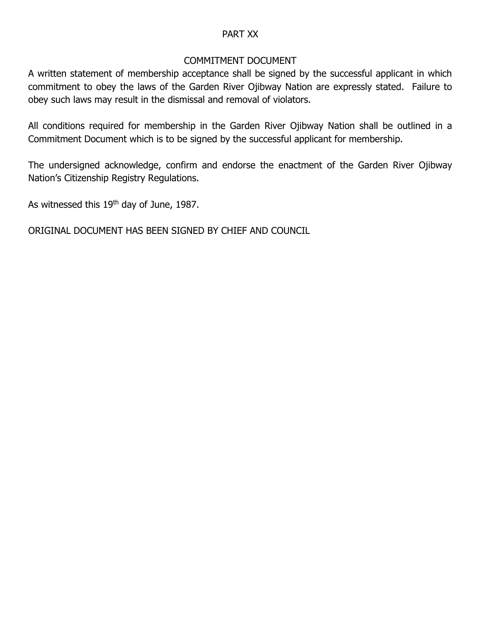## PART XX

#### COMMITMENT DOCUMENT

A written statement of membership acceptance shall be signed by the successful applicant in which commitment to obey the laws of the Garden River Ojibway Nation are expressly stated. Failure to obey such laws may result in the dismissal and removal of violators.

All conditions required for membership in the Garden River Ojibway Nation shall be outlined in a Commitment Document which is to be signed by the successful applicant for membership.

The undersigned acknowledge, confirm and endorse the enactment of the Garden River Ojibway Nation's Citizenship Registry Regulations.

As witnessed this 19<sup>th</sup> day of June, 1987.

ORIGINAL DOCUMENT HAS BEEN SIGNED BY CHIEF AND COUNCIL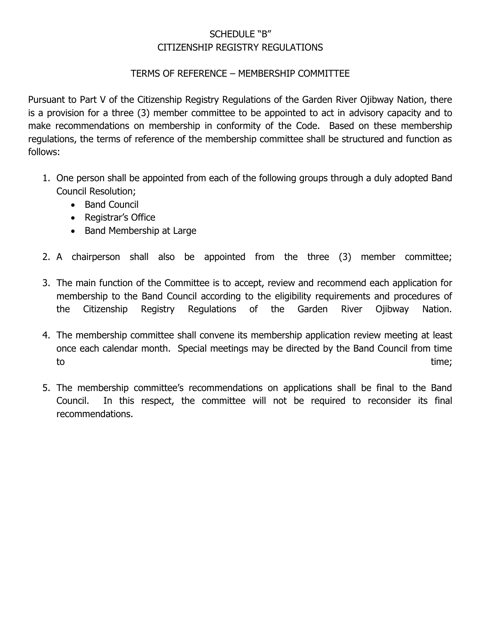# SCHEDULE "B" CITIZENSHIP REGISTRY REGULATIONS

## TERMS OF REFERENCE – MEMBERSHIP COMMITTEE

Pursuant to Part V of the Citizenship Registry Regulations of the Garden River Ojibway Nation, there is a provision for a three (3) member committee to be appointed to act in advisory capacity and to make recommendations on membership in conformity of the Code. Based on these membership regulations, the terms of reference of the membership committee shall be structured and function as follows:

- 1. One person shall be appointed from each of the following groups through a duly adopted Band Council Resolution;
	- Band Council
	- Registrar's Office
	- Band Membership at Large
- 2. A chairperson shall also be appointed from the three (3) member committee;
- 3. The main function of the Committee is to accept, review and recommend each application for membership to the Band Council according to the eligibility requirements and procedures of the Citizenship Registry Regulations of the Garden River Ojibway Nation.
- 4. The membership committee shall convene its membership application review meeting at least once each calendar month. Special meetings may be directed by the Band Council from time to the contract of the contract of the contract of the contract of the contract of time;
- 5. The membership committee's recommendations on applications shall be final to the Band Council. In this respect, the committee will not be required to reconsider its final recommendations.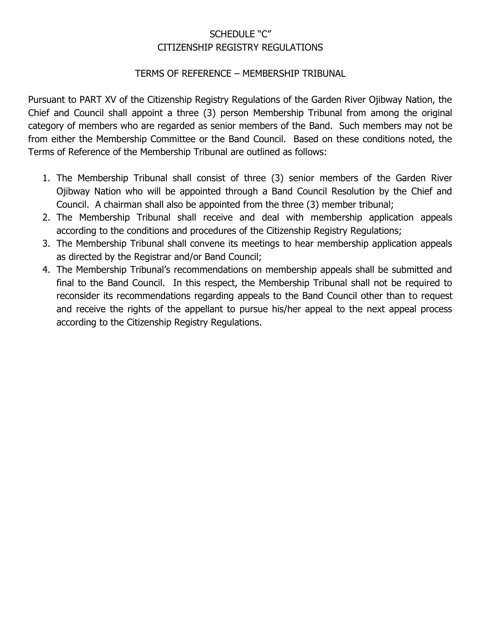# SCHEDULE "C" CITIZENSHIP REGISTRY REGULATIONS

## TERMS OF REFERENCE – MEMBERSHIP TRIBUNAL

Pursuant to PART XV of the Citizenship Registry Regulations of the Garden River Ojibway Nation, the Chief and Council shall appoint a three (3) person Membership Tribunal from among the original category of members who are regarded as senior members of the Band. Such members may not be from either the Membership Committee or the Band Council. Based on these conditions noted, the Terms of Reference of the Membership Tribunal are outlined as follows:

- 1. The Membership Tribunal shall consist of three (3) senior members of the Garden River Ojibway Nation who will be appointed through a Band Council Resolution by the Chief and Council. A chairman shall also be appointed from the three (3) member tribunal;
- 2. The Membership Tribunal shall receive and deal with membership application appeals according to the conditions and procedures of the Citizenship Registry Regulations;
- 3. The Membership Tribunal shall convene its meetings to hear membership application appeals as directed by the Registrar and/or Band Council;
- 4. The Membership Tribunal's recommendations on membership appeals shall be submitted and final to the Band Council. In this respect, the Membership Tribunal shall not be required to reconsider its recommendations regarding appeals to the Band Council other than to request and receive the rights of the appellant to pursue his/her appeal to the next appeal process according to the Citizenship Registry Regulations.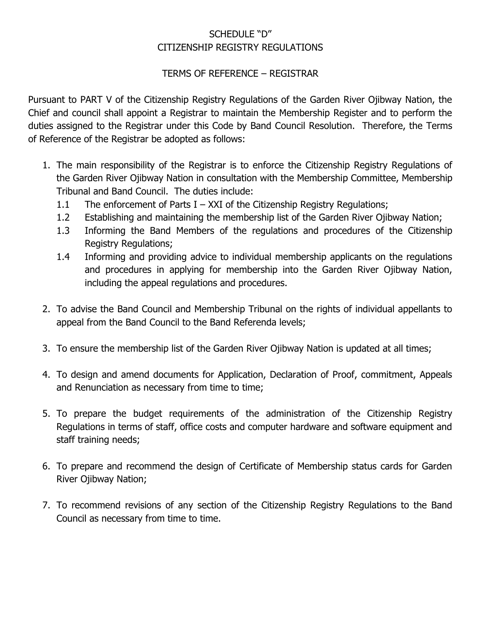# SCHEDULE "D" CITIZENSHIP REGISTRY REGULATIONS

## TERMS OF REFERENCE – REGISTRAR

Pursuant to PART V of the Citizenship Registry Regulations of the Garden River Ojibway Nation, the Chief and council shall appoint a Registrar to maintain the Membership Register and to perform the duties assigned to the Registrar under this Code by Band Council Resolution. Therefore, the Terms of Reference of the Registrar be adopted as follows:

- 1. The main responsibility of the Registrar is to enforce the Citizenship Registry Regulations of the Garden River Ojibway Nation in consultation with the Membership Committee, Membership Tribunal and Band Council. The duties include:
	- 1.1 The enforcement of Parts  $I XXI$  of the Citizenship Registry Regulations;
	- 1.2 Establishing and maintaining the membership list of the Garden River Ojibway Nation;
	- 1.3 Informing the Band Members of the regulations and procedures of the Citizenship Registry Regulations;
	- 1.4 Informing and providing advice to individual membership applicants on the regulations and procedures in applying for membership into the Garden River Ojibway Nation, including the appeal regulations and procedures.
- 2. To advise the Band Council and Membership Tribunal on the rights of individual appellants to appeal from the Band Council to the Band Referenda levels;
- 3. To ensure the membership list of the Garden River Ojibway Nation is updated at all times;
- 4. To design and amend documents for Application, Declaration of Proof, commitment, Appeals and Renunciation as necessary from time to time;
- 5. To prepare the budget requirements of the administration of the Citizenship Registry Regulations in terms of staff, office costs and computer hardware and software equipment and staff training needs;
- 6. To prepare and recommend the design of Certificate of Membership status cards for Garden River Ojibway Nation;
- 7. To recommend revisions of any section of the Citizenship Registry Regulations to the Band Council as necessary from time to time.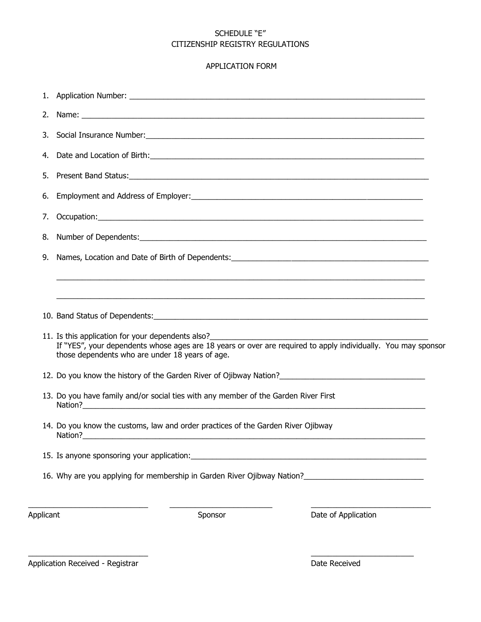#### SCHEDULE "E" CITIZENSHIP REGISTRY REGULATIONS

#### APPLICATION FORM

| Applicant |                                                                                     | Sponsor | Date of Application                                                                                                                                                |  |
|-----------|-------------------------------------------------------------------------------------|---------|--------------------------------------------------------------------------------------------------------------------------------------------------------------------|--|
|           |                                                                                     |         | 16. Why are you applying for membership in Garden River Ojibway Nation?                                                                                            |  |
|           |                                                                                     |         |                                                                                                                                                                    |  |
|           | 14. Do you know the customs, law and order practices of the Garden River Ojibway    |         |                                                                                                                                                                    |  |
|           | 13. Do you have family and/or social ties with any member of the Garden River First |         |                                                                                                                                                                    |  |
|           |                                                                                     |         |                                                                                                                                                                    |  |
|           | those dependents who are under 18 years of age.                                     |         | 11. Is this application for your dependents also?<br>If "YES", your dependents whose ages are 18 years or over are required to apply individually. You may sponsor |  |
|           |                                                                                     |         |                                                                                                                                                                    |  |
|           |                                                                                     |         |                                                                                                                                                                    |  |
| 9.        |                                                                                     |         |                                                                                                                                                                    |  |
| 8.        |                                                                                     |         |                                                                                                                                                                    |  |
| 7.        |                                                                                     |         |                                                                                                                                                                    |  |
| 6.        |                                                                                     |         |                                                                                                                                                                    |  |
| 5.        |                                                                                     |         |                                                                                                                                                                    |  |
| 4.        |                                                                                     |         |                                                                                                                                                                    |  |
| 3.        |                                                                                     |         |                                                                                                                                                                    |  |
| 2.        |                                                                                     |         |                                                                                                                                                                    |  |
| 1.        |                                                                                     |         |                                                                                                                                                                    |  |

\_\_\_\_\_\_\_\_\_\_\_\_\_\_\_\_\_\_\_\_\_\_\_\_\_\_\_\_ \_\_\_\_\_\_\_\_\_\_\_\_\_\_\_\_\_\_\_\_\_\_\_\_

Application Received - Registrar **Date Received Constanting Constanting Constanting Constanting Constanting Constanting Constanting Constanting Constanting Constanting Constanting Constanting Constanting Constanting Cons**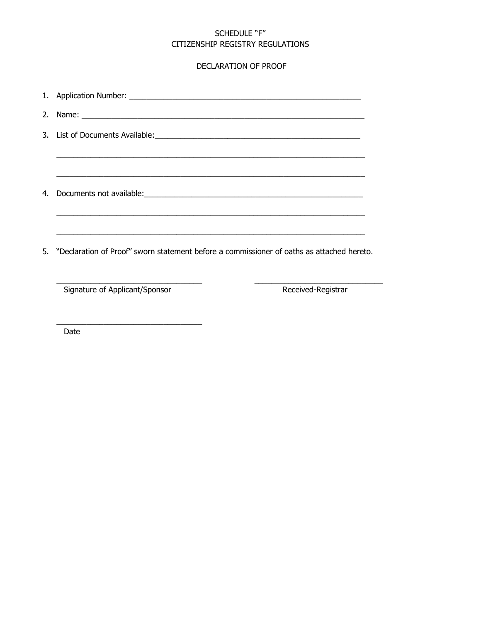#### SCHEDULE "F" CITIZENSHIP REGISTRY REGULATIONS

#### DECLARATION OF PROOF

| 4. |                                                                                              |
|----|----------------------------------------------------------------------------------------------|
|    |                                                                                              |
|    | 5. "Declaration of Proof" sworn statement before a commissioner of oaths as attached hereto. |
|    | Signature of Applicant/Sponsor<br>Received-Registrar                                         |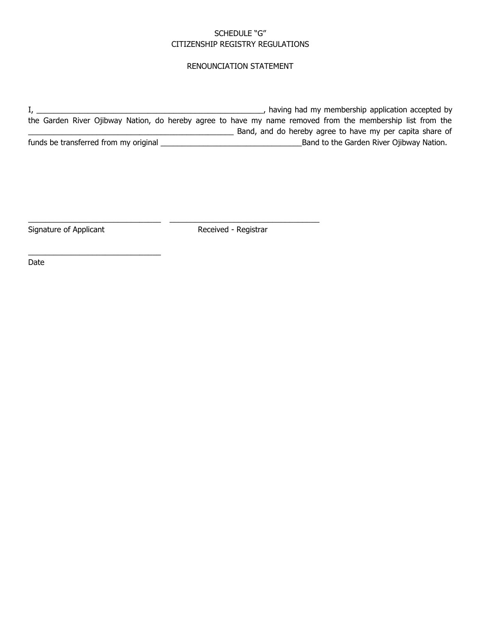#### SCHEDULE "G" CITIZENSHIP REGISTRY REGULATIONS

#### RENOUNCIATION STATEMENT

I, \_\_\_\_\_\_\_\_\_\_\_\_\_\_\_\_\_\_\_\_\_\_\_\_\_\_\_\_\_\_\_\_\_\_\_\_\_\_\_\_\_\_\_\_\_\_\_\_\_\_\_\_\_, having had my membership application accepted by the Garden River Ojibway Nation, do hereby agree to have my name removed from the membership list from the **EXECUTE:** Band, and do hereby agree to have my per capita share of funds be transferred from my original \_\_\_\_\_\_\_\_\_\_\_\_\_\_\_\_\_\_\_\_\_\_\_\_\_\_\_\_\_\_\_\_\_Band to the Garden River Ojibway Nation.

Signature of Applicant **Received - Registrar** 

\_\_\_\_\_\_\_\_\_\_\_\_\_\_\_\_\_\_\_\_\_\_\_\_\_\_\_\_\_\_\_

\_\_\_\_\_\_\_\_\_\_\_\_\_\_\_\_\_\_\_\_\_\_\_\_\_\_\_\_\_\_\_ \_\_\_\_\_\_\_\_\_\_\_\_\_\_\_\_\_\_\_\_\_\_\_\_\_\_\_\_\_\_\_\_\_\_\_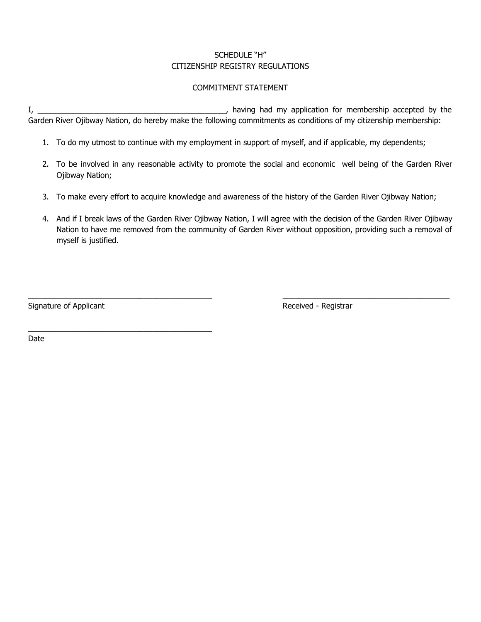#### SCHEDULE "H" CITIZENSHIP REGISTRY REGULATIONS

#### COMMITMENT STATEMENT

I, \_\_\_\_\_\_\_\_\_\_\_\_\_\_\_\_\_\_\_\_\_\_\_\_\_\_\_\_\_\_\_\_\_\_\_\_\_\_\_\_\_\_\_\_, having had my application for membership accepted by the Garden River Ojibway Nation, do hereby make the following commitments as conditions of my citizenship membership:

- 1. To do my utmost to continue with my employment in support of myself, and if applicable, my dependents;
- 2. To be involved in any reasonable activity to promote the social and economic well being of the Garden River Ojibway Nation;
- 3. To make every effort to acquire knowledge and awareness of the history of the Garden River Ojibway Nation;

\_\_\_\_\_\_\_\_\_\_\_\_\_\_\_\_\_\_\_\_\_\_\_\_\_\_\_\_\_\_\_\_\_\_\_\_\_\_\_\_\_\_\_ \_\_\_\_\_\_\_\_\_\_\_\_\_\_\_\_\_\_\_\_\_\_\_\_\_\_\_\_\_\_\_\_\_\_\_\_\_\_\_

4. And if I break laws of the Garden River Ojibway Nation, I will agree with the decision of the Garden River Ojibway Nation to have me removed from the community of Garden River without opposition, providing such a removal of myself is justified.

Signature of Applicant **Received - Received - Registrar** 

\_\_\_\_\_\_\_\_\_\_\_\_\_\_\_\_\_\_\_\_\_\_\_\_\_\_\_\_\_\_\_\_\_\_\_\_\_\_\_\_\_\_\_